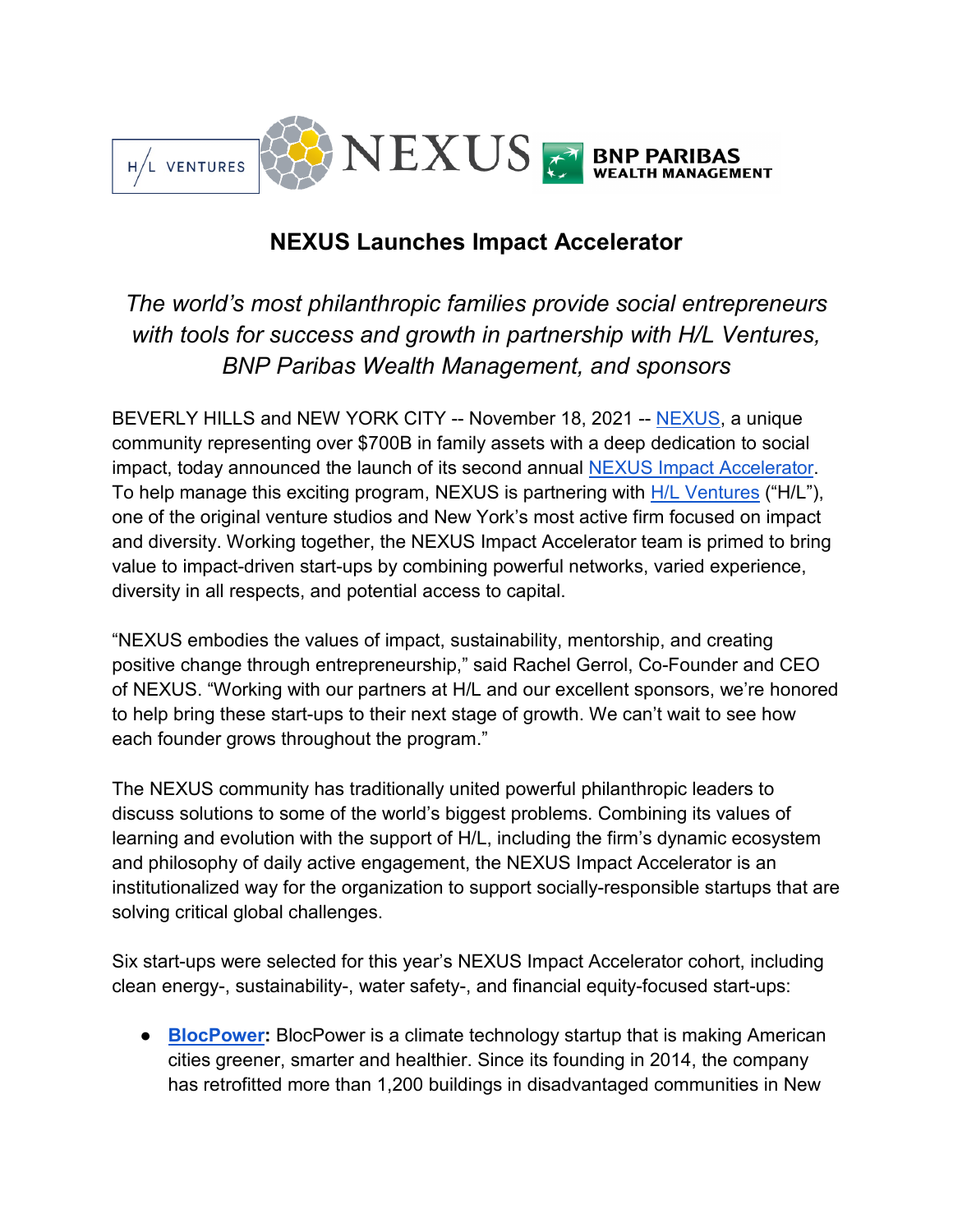

# **NEXUS Launches Impact Accelerator**

*The world's most philanthropic families provide social entrepreneurs with tools for success and growth in partnership with H/L Ventures, BNP Paribas Wealth Management, and sponsors*

BEVERLY HILLS and NEW YORK CITY -- November 18, 2021 -- [NEXUS,](https://nexusglobal.org/) a unique community representing over \$700B in family assets with a deep dedication to social impact, today announced the launch of its second annual [NEXUS Impact Accelerator.](https://nexusglobal.org/impact-accelerator/) To help manage this exciting program, NEXUS is partnering with [H/L Ventures](https://h-l.vc/) ("H/L"), one of the original venture studios and New York's most active firm focused on impact and diversity. Working together, the NEXUS Impact Accelerator team is primed to bring value to impact-driven start-ups by combining powerful networks, varied experience, diversity in all respects, and potential access to capital.

"NEXUS embodies the values of impact, sustainability, mentorship, and creating positive change through entrepreneurship," said Rachel Gerrol, Co-Founder and CEO of NEXUS. "Working with our partners at H/L and our excellent sponsors, we're honored to help bring these start-ups to their next stage of growth. We can't wait to see how each founder grows throughout the program."

The NEXUS community has traditionally united powerful philanthropic leaders to discuss solutions to some of the world's biggest problems. Combining its values of learning and evolution with the support of H/L, including the firm's dynamic ecosystem and philosophy of daily active engagement, the NEXUS Impact Accelerator is an institutionalized way for the organization to support socially-responsible startups that are solving critical global challenges.

Six start-ups were selected for this year's NEXUS Impact Accelerator cohort, including clean energy-, sustainability-, water safety-, and financial equity-focused start-ups:

● **[BlocPower:](https://www.blocpower.io/)** BlocPower is a climate technology startup that is making American cities greener, smarter and healthier. Since its founding in 2014, the company has retrofitted more than 1,200 buildings in disadvantaged communities in New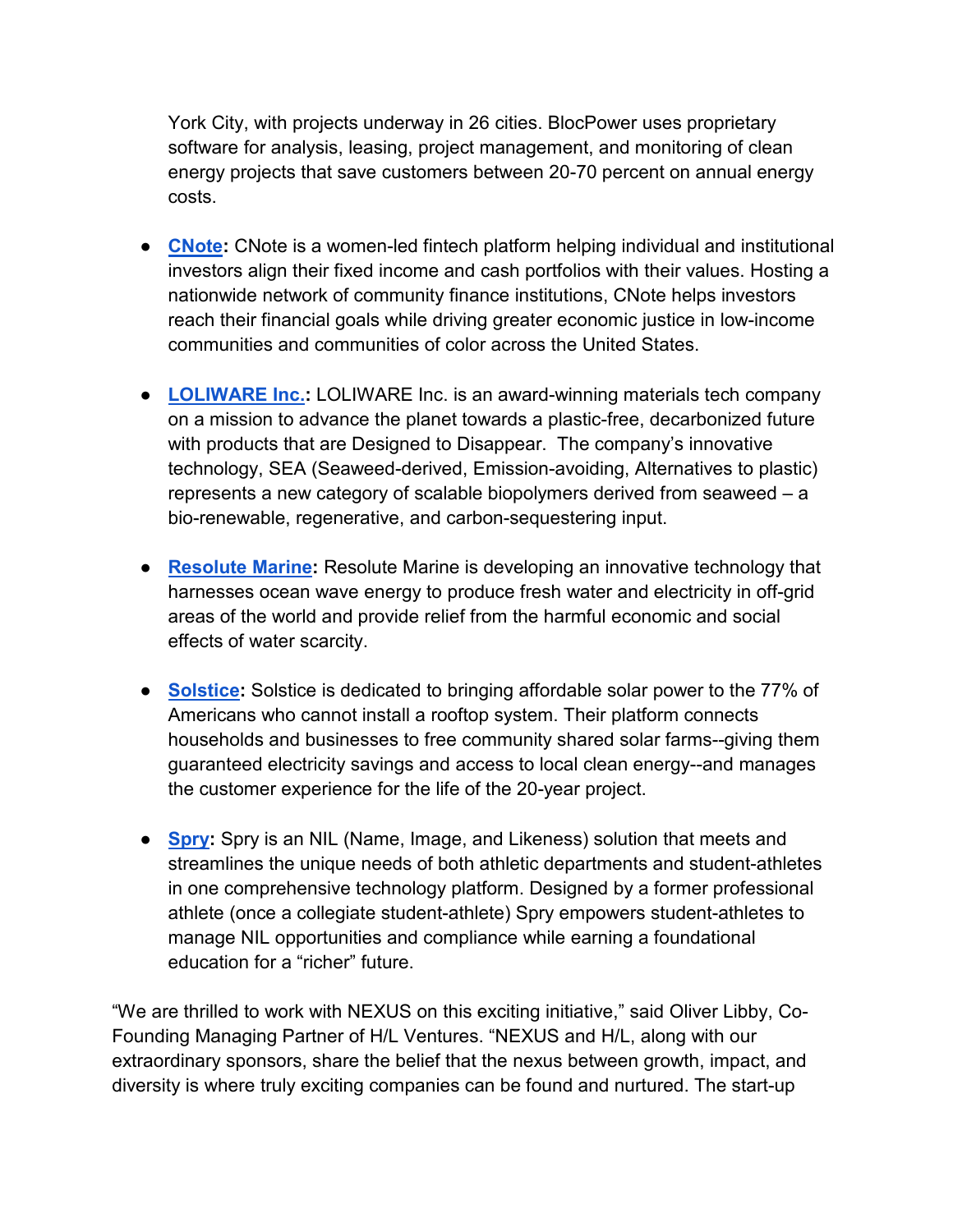York City, with projects underway in 26 cities. BlocPower uses proprietary software for analysis, leasing, project management, and monitoring of clean energy projects that save customers between 20-70 percent on annual energy costs.

- **[CNote:](https://www.mycnote.com/)** CNote is a women-led fintech platform helping individual and institutional investors align their fixed income and cash portfolios with their values. Hosting a nationwide network of community finance institutions, CNote helps investors reach their financial goals while driving greater economic justice in low-income communities and communities of color across the United States.
- **[LOLIWARE Inc.:](https://www.loliware.com/)** LOLIWARE Inc. is an award-winning materials tech company on a mission to advance the planet towards a plastic-free, decarbonized future with products that are Designed to Disappear. The company's innovative technology, SEA (Seaweed-derived, Emission-avoiding, Alternatives to plastic) represents a new category of scalable biopolymers derived from seaweed – a bio-renewable, regenerative, and carbon-sequestering input.
- **[Resolute Marine:](https://www.resolutemarine.com/)** Resolute Marine is developing an innovative technology that harnesses ocean wave energy to produce fresh water and electricity in off-grid areas of the world and provide relief from the harmful economic and social effects of water scarcity.
- **[Solstice:](https://solstice.us/)** Solstice is dedicated to bringing affordable solar power to the 77% of Americans who cannot install a rooftop system. Their platform connects households and businesses to free community shared solar farms--giving them guaranteed electricity savings and access to local clean energy--and manages the customer experience for the life of the 20-year project.
- **[Spry:](https://spry.so/)** Spry is an NIL (Name, Image, and Likeness) solution that meets and streamlines the unique needs of both athletic departments and student-athletes in one comprehensive technology platform. Designed by a former professional athlete (once a collegiate student-athlete) Spry empowers student-athletes to manage NIL opportunities and compliance while earning a foundational education for a "richer" future.

"We are thrilled to work with NEXUS on this exciting initiative," said Oliver Libby, Co-Founding Managing Partner of H/L Ventures. "NEXUS and H/L, along with our extraordinary sponsors, share the belief that the nexus between growth, impact, and diversity is where truly exciting companies can be found and nurtured. The start-up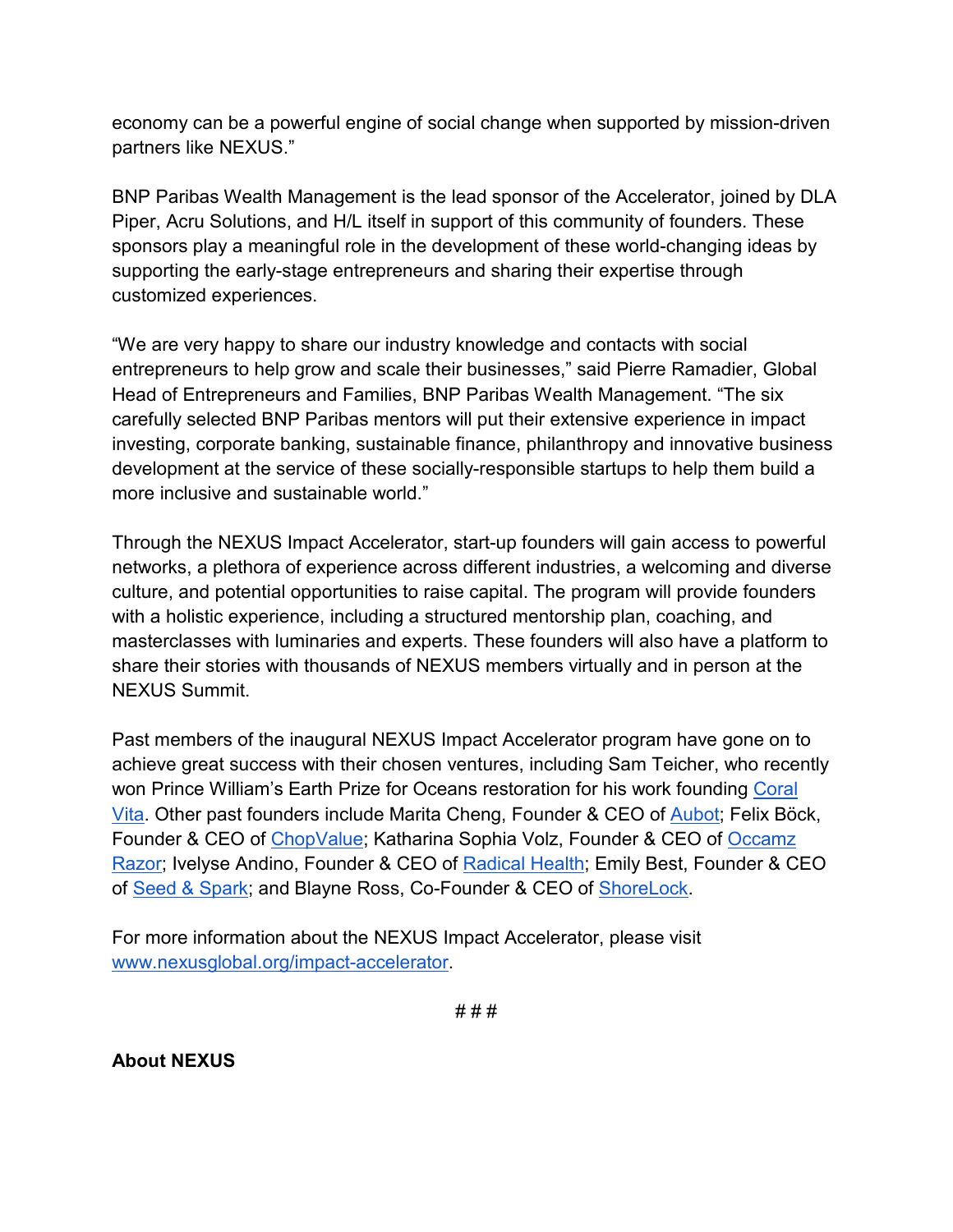economy can be a powerful engine of social change when supported by mission-driven partners like NEXUS."

BNP Paribas Wealth Management is the lead sponsor of the Accelerator, joined by DLA Piper, Acru Solutions, and H/L itself in support of this community of founders. These sponsors play a meaningful role in the development of these world-changing ideas by supporting the early-stage entrepreneurs and sharing their expertise through customized experiences.

"We are very happy to share our industry knowledge and contacts with social entrepreneurs to help grow and scale their businesses," said Pierre Ramadier, Global Head of Entrepreneurs and Families, BNP Paribas Wealth Management. "The six carefully selected BNP Paribas mentors will put their extensive experience in impact investing, corporate banking, sustainable finance, philanthropy and innovative business development at the service of these socially-responsible startups to help them build a more inclusive and sustainable world."

Through the NEXUS Impact Accelerator, start-up founders will gain access to powerful networks, a plethora of experience across different industries, a welcoming and diverse culture, and potential opportunities to raise capital. The program will provide founders with a holistic experience, including a structured mentorship plan, coaching, and masterclasses with luminaries and experts. These founders will also have a platform to share their stories with thousands of NEXUS members virtually and in person at the NEXUS Summit.

Past members of the inaugural NEXUS Impact Accelerator program have gone on to achieve great success with their chosen ventures, including Sam Teicher, who recently won Prince William's Earth Prize for Oceans restoration for his work founding [Coral](https://www.coralvita.co/)  [Vita.](https://www.coralvita.co/) Other past founders include Marita Cheng, Founder & CEO of [Aubot;](https://aubot.com/) Felix Böck, Founder & CEO of [ChopValue;](https://chopvalue.com/) Katharina Sophia Volz, Founder & CEO of [Occamz](https://www.occamzrazor/)  [Razor;](https://www.occamzrazor/) Ivelyse Andino, Founder & CEO of [Radical Health;](https://www.radical-health.com/) Emily Best, Founder & CEO of [Seed & Spark;](https://seedandspark.com/) and Blayne Ross, Co-Founder & CEO of [ShoreLock.](https://www.shorelock.com/)

For more information about the NEXUS Impact Accelerator, please visit [www.nexusglobal.org/impact-accelerator.](http://www.nexusglobal.org/impact-accelerator)

# # #

**About NEXUS**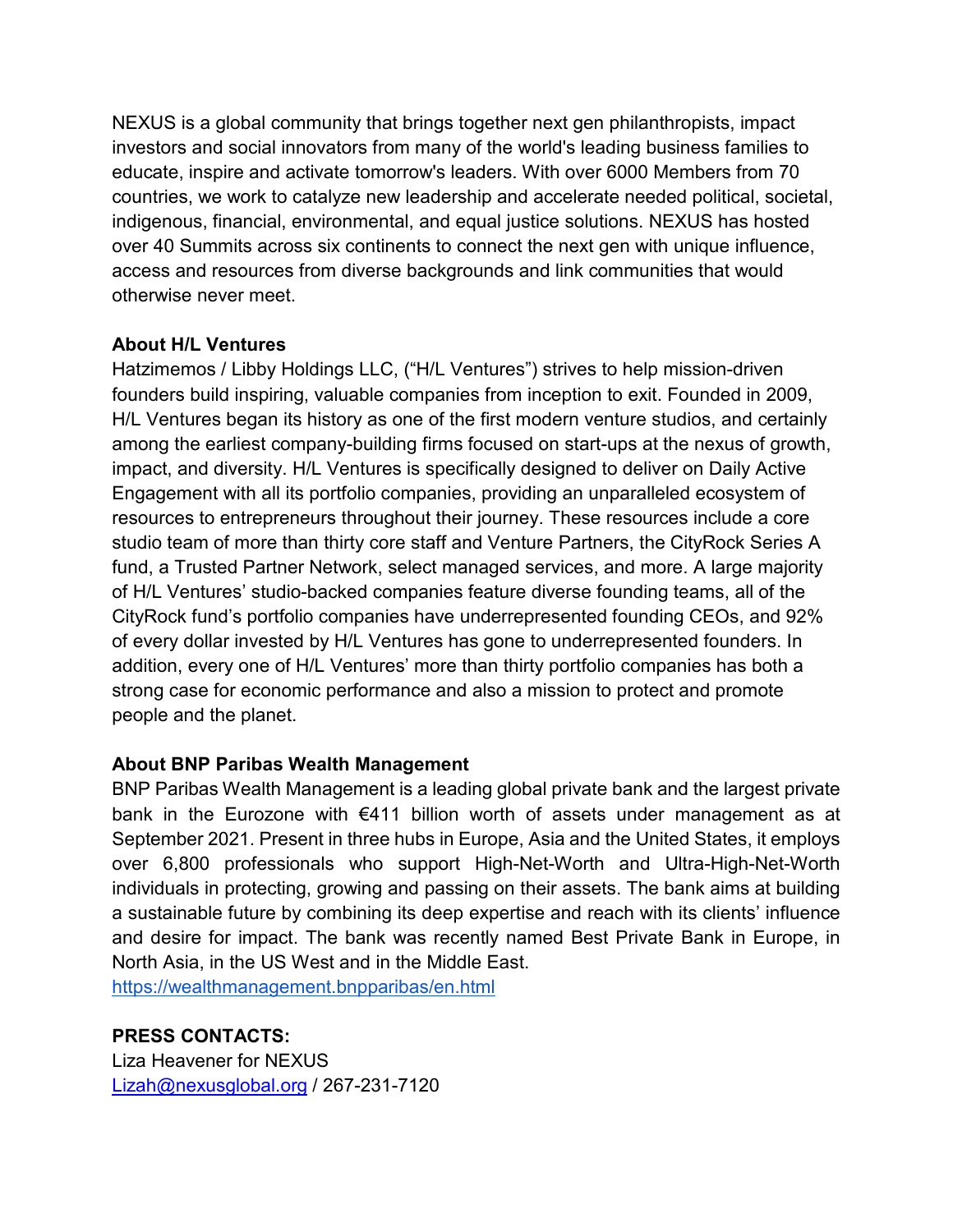NEXUS is a global community that brings together next gen philanthropists, impact investors and social innovators from many of the world's leading business families to educate, inspire and activate tomorrow's leaders. With over 6000 Members from 70 countries, we work to catalyze new leadership and accelerate needed political, societal, indigenous, financial, environmental, and equal justice solutions. NEXUS has hosted over 40 Summits across six continents to connect the next gen with unique influence, access and resources from diverse backgrounds and link communities that would otherwise never meet.

#### **About H/L Ventures**

Hatzimemos / Libby Holdings LLC, ("H/L Ventures") strives to help mission-driven founders build inspiring, valuable companies from inception to exit. Founded in 2009, H/L Ventures began its history as one of the first modern venture studios, and certainly among the earliest company-building firms focused on start-ups at the nexus of growth, impact, and diversity. H/L Ventures is specifically designed to deliver on Daily Active Engagement with all its portfolio companies, providing an unparalleled ecosystem of resources to entrepreneurs throughout their journey. These resources include a core studio team of more than thirty core staff and Venture Partners, the CityRock Series A fund, a Trusted Partner Network, select managed services, and more. A large majority of H/L Ventures' studio-backed companies feature diverse founding teams, all of the CityRock fund's portfolio companies have underrepresented founding CEOs, and 92% of every dollar invested by H/L Ventures has gone to underrepresented founders. In addition, every one of H/L Ventures' more than thirty portfolio companies has both a strong case for economic performance and also a mission to protect and promote people and the planet.

## **About BNP Paribas Wealth Management**

BNP Paribas Wealth Management is a leading global private bank and the largest private bank in the Eurozone with €411 billion worth of assets under management as at September 2021. Present in three hubs in Europe, Asia and the United States, it employs over 6,800 professionals who support High-Net-Worth and Ultra-High-Net-Worth individuals in protecting, growing and passing on their assets. The bank aims at building a sustainable future by combining its deep expertise and reach with its clients' influence and desire for impact. The bank was recently named Best Private Bank in Europe, in North Asia, in the US West and in the Middle East.

<https://wealthmanagement.bnpparibas/en.html>

## **PRESS CONTACTS:**

Liza Heavener for NEXUS [Lizah@nexusglobal.org](mailto:Lizah@nexusglobal.org) / 267-231-7120